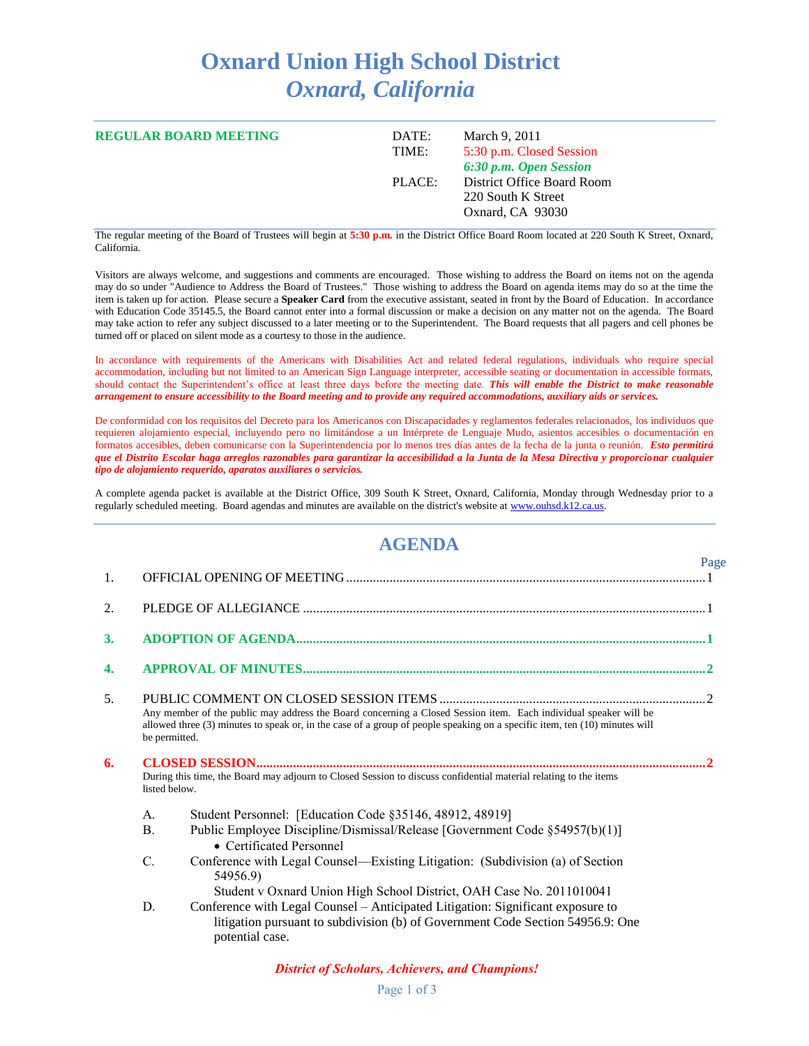## **Oxnard Union High School District** *Oxnard, California*

| <b>REGULAR BOARD MEETING</b> | DATE:<br>TIME: | March 9, 2011<br>5:30 p.m. Closed Session<br>6:30 p.m. Open Session  |
|------------------------------|----------------|----------------------------------------------------------------------|
|                              | PLACE:         | District Office Board Room<br>220 South K Street<br>Oxnard, CA 93030 |

The regular meeting of the Board of Trustees will begin at **5:30 p.m.** in the District Office Board Room located at 220 South K Street, Oxnard, California.

Visitors are always welcome, and suggestions and comments are encouraged. Those wishing to address the Board on items not on the agenda may do so under "Audience to Address the Board of Trustees." Those wishing to address the Board on agenda items may do so at the time the item is taken up for action. Please secure a **Speaker Card** from the executive assistant, seated in front by the Board of Education. In accordance with Education Code 35145.5, the Board cannot enter into a formal discussion or make a decision on any matter not on the agenda. The Board may take action to refer any subject discussed to a later meeting or to the Superintendent. The Board requests that all pagers and cell phones be turned off or placed on silent mode as a courtesy to those in the audience.

In accordance with requirements of the Americans with Disabilities Act and related federal regulations, individuals who require special accommodation, including but not limited to an American Sign Language interpreter, accessible seating or documentation in accessible formats, should contact the Superintendent's office at least three days before the meeting date. *This will enable the District to make reasonable arrangement to ensure accessibility to the Board meeting and to provide any required accommodations, auxiliary aids or services.*

De conformidad con los requisitos del Decreto para los Americanos con Discapacidades y reglamentos federales relacionados, los individuos que requieren alojamiento especial, incluyendo pero no limitándose a un Intérprete de Lenguaje Mudo, asientos accesibles o documentación en formatos accesibles, deben comunicarse con la Superintendencia por lo menos tres días antes de la fecha de la junta o reunión. *Esto permitirá que el Distrito Escolar haga arreglos razonables para garantizar la accesibilidad a la Junta de la Mesa Directiva y proporcionar cualquier tipo de alojamiento requerido, aparatos auxiliares o servicios.*

A complete agenda packet is available at the District Office, 309 South K Street, Oxnard, California, Monday through Wednesday prior to a regularly scheduled meeting. Board agendas and minutes are available on the district's website a[t www.ouhsd.k12.ca.us.](http://www.ouhsd.k12.ca.us/)

## **AGENDA**

|    |                |                                                                                                                                                                                                                                                | Page |
|----|----------------|------------------------------------------------------------------------------------------------------------------------------------------------------------------------------------------------------------------------------------------------|------|
| 1. |                |                                                                                                                                                                                                                                                |      |
| 2. |                |                                                                                                                                                                                                                                                |      |
| 3. |                |                                                                                                                                                                                                                                                |      |
| 4. |                |                                                                                                                                                                                                                                                |      |
| 5. | be permitted.  | Any member of the public may address the Board concerning a Closed Session item. Each individual speaker will be<br>allowed three (3) minutes to speak or, in the case of a group of people speaking on a specific item, ten (10) minutes will |      |
| 6. | listed below.  | During this time, the Board may adjourn to Closed Session to discuss confidential material relating to the items                                                                                                                               |      |
|    | A.             | Student Personnel: [Education Code §35146, 48912, 48919]                                                                                                                                                                                       |      |
|    | $\mathbf{B}$ . | Public Employee Discipline/Dismissal/Release [Government Code §54957(b)(1)]<br>• Certificated Personnel                                                                                                                                        |      |
|    | $\mathcal{C}$  | Conference with Legal Counsel—Existing Litigation: (Subdivision (a) of Section<br>54956.9)<br>Student v Oxnard Union High School District, OAH Case No. 2011010041                                                                             |      |
|    | D.             | Conference with Legal Counsel – Anticipated Litigation: Significant exposure to<br>litigation pursuant to subdivision (b) of Government Code Section 54956.9: One<br>potential case.                                                           |      |

*District of Scholars, Achievers, and Champions!*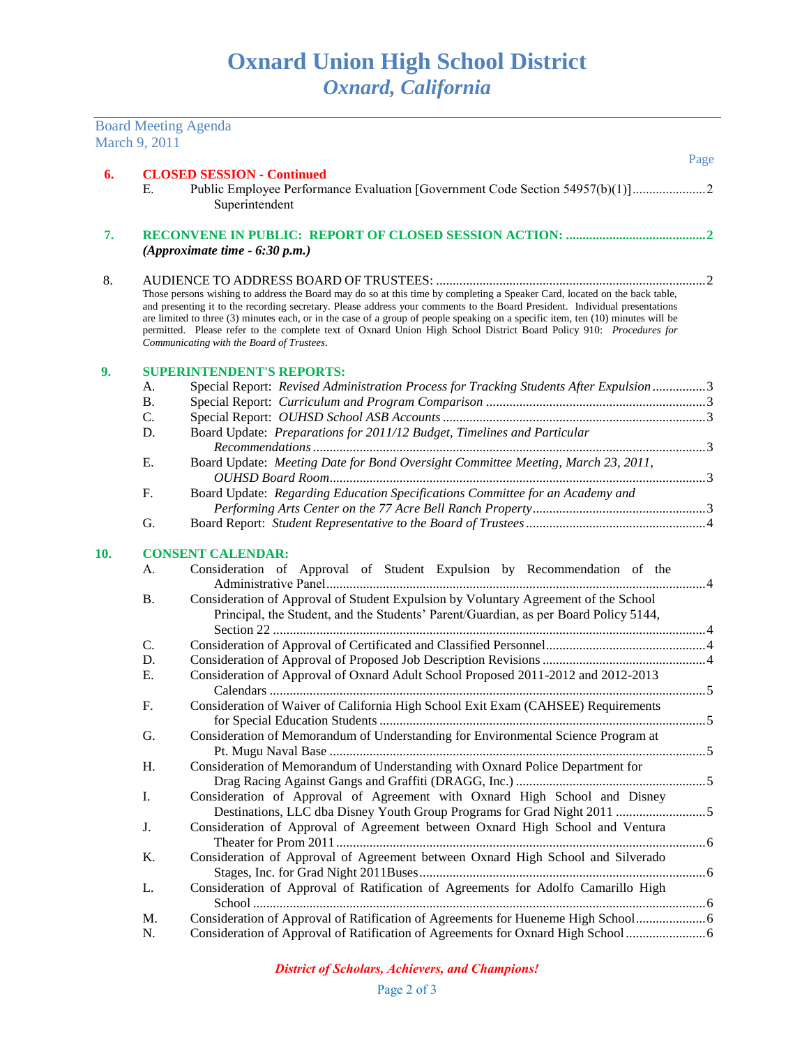Board Meeting Agenda

|     | March 9, 2011                                                                                                                                                                                                                                                                                                                                                                                                                                                                                                                                                    |                                                                                                                                                                             |      |
|-----|------------------------------------------------------------------------------------------------------------------------------------------------------------------------------------------------------------------------------------------------------------------------------------------------------------------------------------------------------------------------------------------------------------------------------------------------------------------------------------------------------------------------------------------------------------------|-----------------------------------------------------------------------------------------------------------------------------------------------------------------------------|------|
|     |                                                                                                                                                                                                                                                                                                                                                                                                                                                                                                                                                                  |                                                                                                                                                                             | Page |
| 6.  | <b>CLOSED SESSION - Continued</b><br>Public Employee Performance Evaluation [Government Code Section 54957(b)(1)]<br>Е.<br>Superintendent                                                                                                                                                                                                                                                                                                                                                                                                                        |                                                                                                                                                                             |      |
| 7.  |                                                                                                                                                                                                                                                                                                                                                                                                                                                                                                                                                                  | (Approximate time $-6:30$ p.m.)                                                                                                                                             |      |
| 8.  |                                                                                                                                                                                                                                                                                                                                                                                                                                                                                                                                                                  |                                                                                                                                                                             |      |
|     | Those persons wishing to address the Board may do so at this time by completing a Speaker Card, located on the back table,<br>and presenting it to the recording secretary. Please address your comments to the Board President. Individual presentations<br>are limited to three (3) minutes each, or in the case of a group of people speaking on a specific item, ten (10) minutes will be<br>permitted. Please refer to the complete text of Oxnard Union High School District Board Policy 910: Procedures for<br>Communicating with the Board of Trustees. |                                                                                                                                                                             |      |
| 9.  |                                                                                                                                                                                                                                                                                                                                                                                                                                                                                                                                                                  | <b>SUPERINTENDENT'S REPORTS:</b>                                                                                                                                            |      |
|     | А.                                                                                                                                                                                                                                                                                                                                                                                                                                                                                                                                                               | Special Report: Revised Administration Process for Tracking Students After Expulsion 3                                                                                      |      |
|     | <b>B.</b>                                                                                                                                                                                                                                                                                                                                                                                                                                                                                                                                                        |                                                                                                                                                                             |      |
|     | C.                                                                                                                                                                                                                                                                                                                                                                                                                                                                                                                                                               |                                                                                                                                                                             |      |
|     | D.                                                                                                                                                                                                                                                                                                                                                                                                                                                                                                                                                               | Board Update: Preparations for 2011/12 Budget, Timelines and Particular                                                                                                     |      |
|     | Ε.                                                                                                                                                                                                                                                                                                                                                                                                                                                                                                                                                               | Board Update: Meeting Date for Bond Oversight Committee Meeting, March 23, 2011,                                                                                            |      |
|     | F.                                                                                                                                                                                                                                                                                                                                                                                                                                                                                                                                                               | Board Update: Regarding Education Specifications Committee for an Academy and                                                                                               |      |
|     |                                                                                                                                                                                                                                                                                                                                                                                                                                                                                                                                                                  |                                                                                                                                                                             |      |
|     | G.                                                                                                                                                                                                                                                                                                                                                                                                                                                                                                                                                               |                                                                                                                                                                             |      |
| 10. |                                                                                                                                                                                                                                                                                                                                                                                                                                                                                                                                                                  | <b>CONSENT CALENDAR:</b>                                                                                                                                                    |      |
|     | A.                                                                                                                                                                                                                                                                                                                                                                                                                                                                                                                                                               | Consideration of Approval of Student Expulsion by Recommendation of the                                                                                                     |      |
|     | <b>B.</b>                                                                                                                                                                                                                                                                                                                                                                                                                                                                                                                                                        | Consideration of Approval of Student Expulsion by Voluntary Agreement of the School<br>Principal, the Student, and the Students' Parent/Guardian, as per Board Policy 5144, |      |
|     | C.                                                                                                                                                                                                                                                                                                                                                                                                                                                                                                                                                               |                                                                                                                                                                             |      |
|     | D.                                                                                                                                                                                                                                                                                                                                                                                                                                                                                                                                                               |                                                                                                                                                                             |      |
|     | Ε.                                                                                                                                                                                                                                                                                                                                                                                                                                                                                                                                                               | Consideration of Approval of Oxnard Adult School Proposed 2011-2012 and 2012-2013                                                                                           |      |
|     |                                                                                                                                                                                                                                                                                                                                                                                                                                                                                                                                                                  |                                                                                                                                                                             |      |
|     | F.                                                                                                                                                                                                                                                                                                                                                                                                                                                                                                                                                               | Consideration of Waiver of California High School Exit Exam (CAHSEE) Requirements                                                                                           |      |
|     | G.                                                                                                                                                                                                                                                                                                                                                                                                                                                                                                                                                               | Consideration of Memorandum of Understanding for Environmental Science Program at                                                                                           |      |
|     | Η.                                                                                                                                                                                                                                                                                                                                                                                                                                                                                                                                                               | Consideration of Memorandum of Understanding with Oxnard Police Department for                                                                                              |      |
|     | I.                                                                                                                                                                                                                                                                                                                                                                                                                                                                                                                                                               | Consideration of Approval of Agreement with Oxnard High School and Disney<br>Destinations, LLC dba Disney Youth Group Programs for Grad Night 2011                          |      |
|     | J.                                                                                                                                                                                                                                                                                                                                                                                                                                                                                                                                                               | Consideration of Approval of Agreement between Oxnard High School and Ventura                                                                                               |      |
|     | K.                                                                                                                                                                                                                                                                                                                                                                                                                                                                                                                                                               | Consideration of Approval of Agreement between Oxnard High School and Silverado                                                                                             |      |
|     | L.                                                                                                                                                                                                                                                                                                                                                                                                                                                                                                                                                               | Consideration of Approval of Ratification of Agreements for Adolfo Camarillo High                                                                                           |      |
|     | M.                                                                                                                                                                                                                                                                                                                                                                                                                                                                                                                                                               |                                                                                                                                                                             |      |
|     | N.                                                                                                                                                                                                                                                                                                                                                                                                                                                                                                                                                               | Consideration of Approval of Ratification of Agreements for Oxnard High School                                                                                              |      |
|     |                                                                                                                                                                                                                                                                                                                                                                                                                                                                                                                                                                  |                                                                                                                                                                             |      |

## *District of Scholars, Achievers, and Champions!*